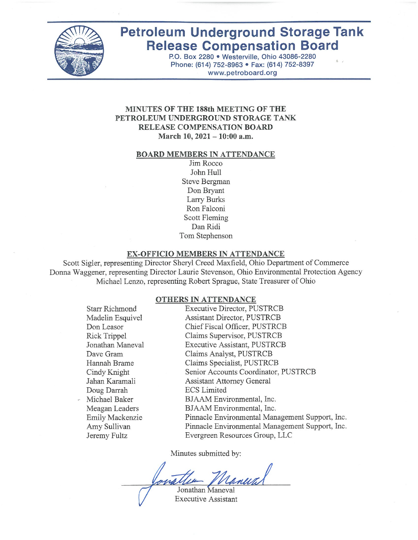

# **Petroleum Underground Storage Tank Release Compensation Board**

P.O. Box 2280 · Westerville, Ohio 43086-2280 Phone: (614) 752-8963 · Fax: (614) 752-8397 www.petroboard.org

### MINUTES OF THE 188th MEETING OF THE PETROLEUM UNDERGROUND STORAGE TANK RELEASE COMPENSATION BOARD March 10, 2021 - 10:00 a.m.

#### **BOARD MEMBERS IN ATTENDANCE**

Jim Rocco John Hull Steve Bergman Don Bryant Larry Burks Ron Falconi Scott Fleming Dan Ridi Tom Stephenson

#### EX-OFFICIO MEMBERS IN ATTENDANCE

Scott Sigler, representing Director Sheryl Creed Maxfield, Ohio Department of Commerce Donna Waggener, representing Director Laurie Stevenson, Ohio Environmental Protection Agency Michael Lenzo, representing Robert Sprague, State Treasurer of Ohio

#### **OTHERS IN ATTENDANCE**

**Starr Richmond** Madelin Esquivel Don Leasor **Rick Trippel** Jonathan Maneval Dave Gram Hannah Brame Cindy Knight Jahan Karamali Doug Darrah Michael Baker Meagan Leaders Emily Mackenzie Amy Sullivan Jeremy Fultz

**Executive Director, PUSTRCB** Assistant Director, PUSTRCB Chief Fiscal Officer, PUSTRCB Claims Supervisor, PUSTRCB **Executive Assistant, PUSTRCB** Claims Analyst, PUSTRCB Claims Specialist, PUSTRCB Senior Accounts Coordinator, PUSTRCB **Assistant Attorney General ECS** Limited BJAAM Environmental, Inc. BJAAM Environmental, Inc. Pinnacle Environmental Management Support, Inc. Pinnacle Environmental Management Support, Inc. Evergreen Resources Group, LLC

Minutes submitted by:

Jonathan Maneval **Executive Assistant**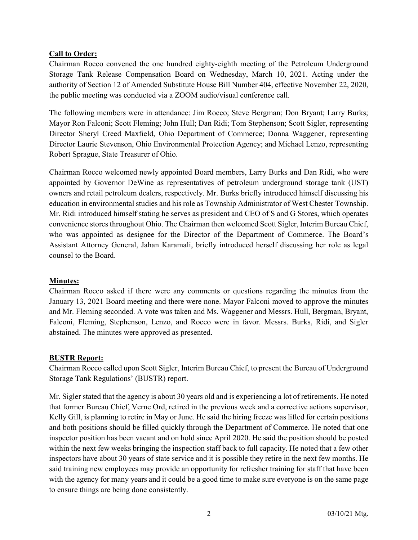# Call to Order:

Chairman Rocco convened the one hundred eighty-eighth meeting of the Petroleum Underground Storage Tank Release Compensation Board on Wednesday, March 10, 2021. Acting under the authority of Section 12 of Amended Substitute House Bill Number 404, effective November 22, 2020, the public meeting was conducted via a ZOOM audio/visual conference call.

The following members were in attendance: Jim Rocco; Steve Bergman; Don Bryant; Larry Burks; Mayor Ron Falconi; Scott Fleming; John Hull; Dan Ridi; Tom Stephenson; Scott Sigler, representing Director Sheryl Creed Maxfield, Ohio Department of Commerce; Donna Waggener, representing Director Laurie Stevenson, Ohio Environmental Protection Agency; and Michael Lenzo, representing Robert Sprague, State Treasurer of Ohio.

Chairman Rocco welcomed newly appointed Board members, Larry Burks and Dan Ridi, who were appointed by Governor DeWine as representatives of petroleum underground storage tank (UST) owners and retail petroleum dealers, respectively. Mr. Burks briefly introduced himself discussing his education in environmental studies and his role as Township Administrator of West Chester Township. Mr. Ridi introduced himself stating he serves as president and CEO of S and G Stores, which operates convenience stores throughout Ohio. The Chairman then welcomed Scott Sigler, Interim Bureau Chief, who was appointed as designee for the Director of the Department of Commerce. The Board's Assistant Attorney General, Jahan Karamali, briefly introduced herself discussing her role as legal counsel to the Board.

## Minutes:

Chairman Rocco asked if there were any comments or questions regarding the minutes from the January 13, 2021 Board meeting and there were none. Mayor Falconi moved to approve the minutes and Mr. Fleming seconded. A vote was taken and Ms. Waggener and Messrs. Hull, Bergman, Bryant, Falconi, Fleming, Stephenson, Lenzo, and Rocco were in favor. Messrs. Burks, Ridi, and Sigler abstained. The minutes were approved as presented.

## BUSTR Report:

Chairman Rocco called upon Scott Sigler, Interim Bureau Chief, to present the Bureau of Underground Storage Tank Regulations' (BUSTR) report.

Mr. Sigler stated that the agency is about 30 years old and is experiencing a lot of retirements. He noted that former Bureau Chief, Verne Ord, retired in the previous week and a corrective actions supervisor, Kelly Gill, is planning to retire in May or June. He said the hiring freeze was lifted for certain positions and both positions should be filled quickly through the Department of Commerce. He noted that one inspector position has been vacant and on hold since April 2020. He said the position should be posted within the next few weeks bringing the inspection staff back to full capacity. He noted that a few other inspectors have about 30 years of state service and it is possible they retire in the next few months. He said training new employees may provide an opportunity for refresher training for staff that have been with the agency for many years and it could be a good time to make sure everyone is on the same page to ensure things are being done consistently.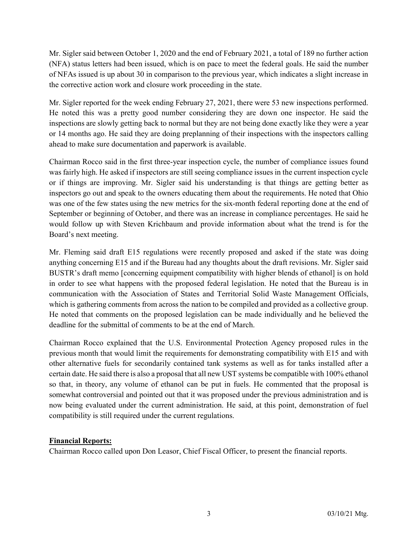Mr. Sigler said between October 1, 2020 and the end of February 2021, a total of 189 no further action (NFA) status letters had been issued, which is on pace to meet the federal goals. He said the number of NFAs issued is up about 30 in comparison to the previous year, which indicates a slight increase in the corrective action work and closure work proceeding in the state.

Mr. Sigler reported for the week ending February 27, 2021, there were 53 new inspections performed. He noted this was a pretty good number considering they are down one inspector. He said the inspections are slowly getting back to normal but they are not being done exactly like they were a year or 14 months ago. He said they are doing preplanning of their inspections with the inspectors calling ahead to make sure documentation and paperwork is available.

Chairman Rocco said in the first three-year inspection cycle, the number of compliance issues found was fairly high. He asked if inspectors are still seeing compliance issues in the current inspection cycle or if things are improving. Mr. Sigler said his understanding is that things are getting better as inspectors go out and speak to the owners educating them about the requirements. He noted that Ohio was one of the few states using the new metrics for the six-month federal reporting done at the end of September or beginning of October, and there was an increase in compliance percentages. He said he would follow up with Steven Krichbaum and provide information about what the trend is for the Board's next meeting.

Mr. Fleming said draft E15 regulations were recently proposed and asked if the state was doing anything concerning E15 and if the Bureau had any thoughts about the draft revisions. Mr. Sigler said BUSTR's draft memo [concerning equipment compatibility with higher blends of ethanol] is on hold in order to see what happens with the proposed federal legislation. He noted that the Bureau is in communication with the Association of States and Territorial Solid Waste Management Officials, which is gathering comments from across the nation to be compiled and provided as a collective group. He noted that comments on the proposed legislation can be made individually and he believed the deadline for the submittal of comments to be at the end of March.

Chairman Rocco explained that the U.S. Environmental Protection Agency proposed rules in the previous month that would limit the requirements for demonstrating compatibility with E15 and with other alternative fuels for secondarily contained tank systems as well as for tanks installed after a certain date. He said there is also a proposal that all new UST systems be compatible with 100% ethanol so that, in theory, any volume of ethanol can be put in fuels. He commented that the proposal is somewhat controversial and pointed out that it was proposed under the previous administration and is now being evaluated under the current administration. He said, at this point, demonstration of fuel compatibility is still required under the current regulations.

## Financial Reports:

Chairman Rocco called upon Don Leasor, Chief Fiscal Officer, to present the financial reports.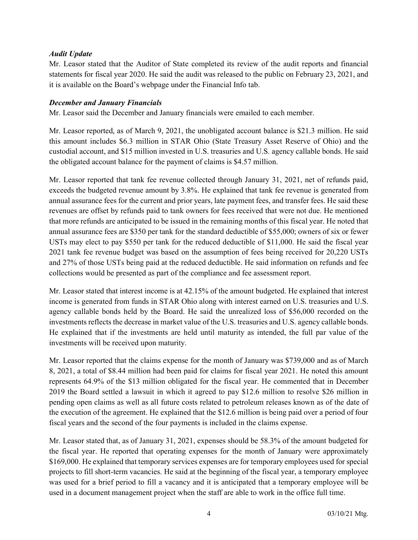## Audit Update

Mr. Leasor stated that the Auditor of State completed its review of the audit reports and financial statements for fiscal year 2020. He said the audit was released to the public on February 23, 2021, and it is available on the Board's webpage under the Financial Info tab.

## December and January Financials

Mr. Leasor said the December and January financials were emailed to each member.

Mr. Leasor reported, as of March 9, 2021, the unobligated account balance is \$21.3 million. He said this amount includes \$6.3 million in STAR Ohio (State Treasury Asset Reserve of Ohio) and the custodial account, and \$15 million invested in U.S. treasuries and U.S. agency callable bonds. He said the obligated account balance for the payment of claims is \$4.57 million.

Mr. Leasor reported that tank fee revenue collected through January 31, 2021, net of refunds paid, exceeds the budgeted revenue amount by 3.8%. He explained that tank fee revenue is generated from annual assurance fees for the current and prior years, late payment fees, and transfer fees. He said these revenues are offset by refunds paid to tank owners for fees received that were not due. He mentioned that more refunds are anticipated to be issued in the remaining months of this fiscal year. He noted that annual assurance fees are \$350 per tank for the standard deductible of \$55,000; owners of six or fewer USTs may elect to pay \$550 per tank for the reduced deductible of \$11,000. He said the fiscal year 2021 tank fee revenue budget was based on the assumption of fees being received for 20,220 USTs and 27% of those USTs being paid at the reduced deductible. He said information on refunds and fee collections would be presented as part of the compliance and fee assessment report.

Mr. Leasor stated that interest income is at 42.15% of the amount budgeted. He explained that interest income is generated from funds in STAR Ohio along with interest earned on U.S. treasuries and U.S. agency callable bonds held by the Board. He said the unrealized loss of \$56,000 recorded on the investments reflects the decrease in market value of the U.S. treasuries and U.S. agency callable bonds. He explained that if the investments are held until maturity as intended, the full par value of the investments will be received upon maturity.

Mr. Leasor reported that the claims expense for the month of January was \$739,000 and as of March 8, 2021, a total of \$8.44 million had been paid for claims for fiscal year 2021. He noted this amount represents 64.9% of the \$13 million obligated for the fiscal year. He commented that in December 2019 the Board settled a lawsuit in which it agreed to pay \$12.6 million to resolve \$26 million in pending open claims as well as all future costs related to petroleum releases known as of the date of the execution of the agreement. He explained that the \$12.6 million is being paid over a period of four fiscal years and the second of the four payments is included in the claims expense.

Mr. Leasor stated that, as of January 31, 2021, expenses should be 58.3% of the amount budgeted for the fiscal year. He reported that operating expenses for the month of January were approximately \$169,000. He explained that temporary services expenses are for temporary employees used for special projects to fill short-term vacancies. He said at the beginning of the fiscal year, a temporary employee was used for a brief period to fill a vacancy and it is anticipated that a temporary employee will be used in a document management project when the staff are able to work in the office full time.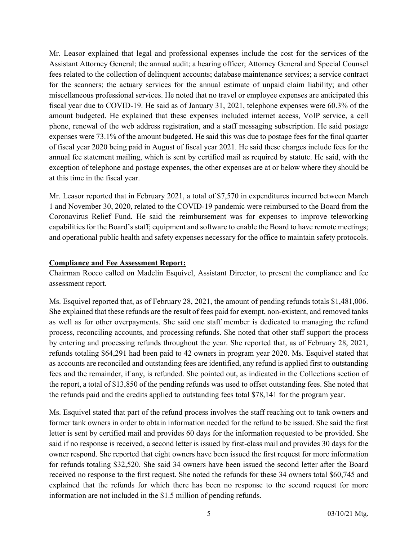Mr. Leasor explained that legal and professional expenses include the cost for the services of the Assistant Attorney General; the annual audit; a hearing officer; Attorney General and Special Counsel fees related to the collection of delinquent accounts; database maintenance services; a service contract for the scanners; the actuary services for the annual estimate of unpaid claim liability; and other miscellaneous professional services. He noted that no travel or employee expenses are anticipated this fiscal year due to COVID-19. He said as of January 31, 2021, telephone expenses were 60.3% of the amount budgeted. He explained that these expenses included internet access, VoIP service, a cell phone, renewal of the web address registration, and a staff messaging subscription. He said postage expenses were 73.1% of the amount budgeted. He said this was due to postage fees for the final quarter of fiscal year 2020 being paid in August of fiscal year 2021. He said these charges include fees for the annual fee statement mailing, which is sent by certified mail as required by statute. He said, with the exception of telephone and postage expenses, the other expenses are at or below where they should be at this time in the fiscal year.

Mr. Leasor reported that in February 2021, a total of \$7,570 in expenditures incurred between March 1 and November 30, 2020, related to the COVID-19 pandemic were reimbursed to the Board from the Coronavirus Relief Fund. He said the reimbursement was for expenses to improve teleworking capabilities for the Board's staff; equipment and software to enable the Board to have remote meetings; and operational public health and safety expenses necessary for the office to maintain safety protocols.

#### Compliance and Fee Assessment Report:

Chairman Rocco called on Madelin Esquivel, Assistant Director, to present the compliance and fee assessment report.

Ms. Esquivel reported that, as of February 28, 2021, the amount of pending refunds totals \$1,481,006. She explained that these refunds are the result of fees paid for exempt, non-existent, and removed tanks as well as for other overpayments. She said one staff member is dedicated to managing the refund process, reconciling accounts, and processing refunds. She noted that other staff support the process by entering and processing refunds throughout the year. She reported that, as of February 28, 2021, refunds totaling \$64,291 had been paid to 42 owners in program year 2020. Ms. Esquivel stated that as accounts are reconciled and outstanding fees are identified, any refund is applied first to outstanding fees and the remainder, if any, is refunded. She pointed out, as indicated in the Collections section of the report, a total of \$13,850 of the pending refunds was used to offset outstanding fees. She noted that the refunds paid and the credits applied to outstanding fees total \$78,141 for the program year.

Ms. Esquivel stated that part of the refund process involves the staff reaching out to tank owners and former tank owners in order to obtain information needed for the refund to be issued. She said the first letter is sent by certified mail and provides 60 days for the information requested to be provided. She said if no response is received, a second letter is issued by first-class mail and provides 30 days for the owner respond. She reported that eight owners have been issued the first request for more information for refunds totaling \$32,520. She said 34 owners have been issued the second letter after the Board received no response to the first request. She noted the refunds for these 34 owners total \$60,745 and explained that the refunds for which there has been no response to the second request for more information are not included in the \$1.5 million of pending refunds.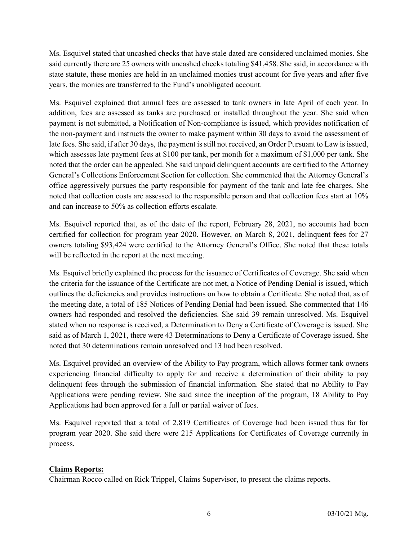Ms. Esquivel stated that uncashed checks that have stale dated are considered unclaimed monies. She said currently there are 25 owners with uncashed checks totaling \$41,458. She said, in accordance with state statute, these monies are held in an unclaimed monies trust account for five years and after five years, the monies are transferred to the Fund's unobligated account.

Ms. Esquivel explained that annual fees are assessed to tank owners in late April of each year. In addition, fees are assessed as tanks are purchased or installed throughout the year. She said when payment is not submitted, a Notification of Non-compliance is issued, which provides notification of the non-payment and instructs the owner to make payment within 30 days to avoid the assessment of late fees. She said, if after 30 days, the payment is still not received, an Order Pursuant to Law is issued, which assesses late payment fees at \$100 per tank, per month for a maximum of \$1,000 per tank. She noted that the order can be appealed. She said unpaid delinquent accounts are certified to the Attorney General's Collections Enforcement Section for collection. She commented that the Attorney General's office aggressively pursues the party responsible for payment of the tank and late fee charges. She noted that collection costs are assessed to the responsible person and that collection fees start at 10% and can increase to 50% as collection efforts escalate.

Ms. Esquivel reported that, as of the date of the report, February 28, 2021, no accounts had been certified for collection for program year 2020. However, on March 8, 2021, delinquent fees for 27 owners totaling \$93,424 were certified to the Attorney General's Office. She noted that these totals will be reflected in the report at the next meeting.

Ms. Esquivel briefly explained the process for the issuance of Certificates of Coverage. She said when the criteria for the issuance of the Certificate are not met, a Notice of Pending Denial is issued, which outlines the deficiencies and provides instructions on how to obtain a Certificate. She noted that, as of the meeting date, a total of 185 Notices of Pending Denial had been issued. She commented that 146 owners had responded and resolved the deficiencies. She said 39 remain unresolved. Ms. Esquivel stated when no response is received, a Determination to Deny a Certificate of Coverage is issued. She said as of March 1, 2021, there were 43 Determinations to Deny a Certificate of Coverage issued. She noted that 30 determinations remain unresolved and 13 had been resolved.

Ms. Esquivel provided an overview of the Ability to Pay program, which allows former tank owners experiencing financial difficulty to apply for and receive a determination of their ability to pay delinquent fees through the submission of financial information. She stated that no Ability to Pay Applications were pending review. She said since the inception of the program, 18 Ability to Pay Applications had been approved for a full or partial waiver of fees.

Ms. Esquivel reported that a total of 2,819 Certificates of Coverage had been issued thus far for program year 2020. She said there were 215 Applications for Certificates of Coverage currently in process.

# Claims Reports:

Chairman Rocco called on Rick Trippel, Claims Supervisor, to present the claims reports.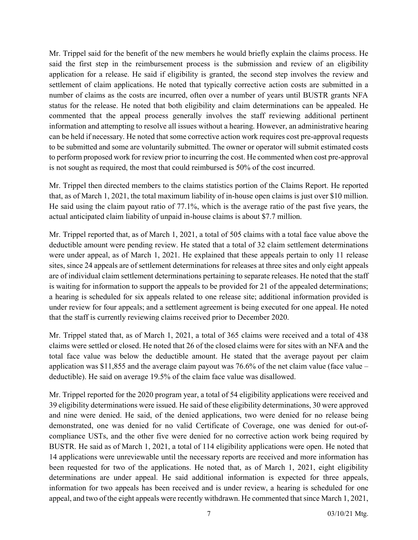Mr. Trippel said for the benefit of the new members he would briefly explain the claims process. He said the first step in the reimbursement process is the submission and review of an eligibility application for a release. He said if eligibility is granted, the second step involves the review and settlement of claim applications. He noted that typically corrective action costs are submitted in a number of claims as the costs are incurred, often over a number of years until BUSTR grants NFA status for the release. He noted that both eligibility and claim determinations can be appealed. He commented that the appeal process generally involves the staff reviewing additional pertinent information and attempting to resolve all issues without a hearing. However, an administrative hearing can be held if necessary. He noted that some corrective action work requires cost pre-approval requests to be submitted and some are voluntarily submitted. The owner or operator will submit estimated costs to perform proposed work for review prior to incurring the cost. He commented when cost pre-approval is not sought as required, the most that could reimbursed is 50% of the cost incurred.

Mr. Trippel then directed members to the claims statistics portion of the Claims Report. He reported that, as of March 1, 2021, the total maximum liability of in-house open claims is just over \$10 million. He said using the claim payout ratio of 77.1%, which is the average ratio of the past five years, the actual anticipated claim liability of unpaid in-house claims is about \$7.7 million.

Mr. Trippel reported that, as of March 1, 2021, a total of 505 claims with a total face value above the deductible amount were pending review. He stated that a total of 32 claim settlement determinations were under appeal, as of March 1, 2021. He explained that these appeals pertain to only 11 release sites, since 24 appeals are of settlement determinations for releases at three sites and only eight appeals are of individual claim settlement determinations pertaining to separate releases. He noted that the staff is waiting for information to support the appeals to be provided for 21 of the appealed determinations; a hearing is scheduled for six appeals related to one release site; additional information provided is under review for four appeals; and a settlement agreement is being executed for one appeal. He noted that the staff is currently reviewing claims received prior to December 2020.

Mr. Trippel stated that, as of March 1, 2021, a total of 365 claims were received and a total of 438 claims were settled or closed. He noted that 26 of the closed claims were for sites with an NFA and the total face value was below the deductible amount. He stated that the average payout per claim application was \$11,855 and the average claim payout was 76.6% of the net claim value (face value – deductible). He said on average 19.5% of the claim face value was disallowed.

Mr. Trippel reported for the 2020 program year, a total of 54 eligibility applications were received and 39 eligibility determinations were issued. He said of these eligibility determinations, 30 were approved and nine were denied. He said, of the denied applications, two were denied for no release being demonstrated, one was denied for no valid Certificate of Coverage, one was denied for out-ofcompliance USTs, and the other five were denied for no corrective action work being required by BUSTR. He said as of March 1, 2021, a total of 114 eligibility applications were open. He noted that 14 applications were unreviewable until the necessary reports are received and more information has been requested for two of the applications. He noted that, as of March 1, 2021, eight eligibility determinations are under appeal. He said additional information is expected for three appeals, information for two appeals has been received and is under review, a hearing is scheduled for one appeal, and two of the eight appeals were recently withdrawn. He commented that since March 1, 2021,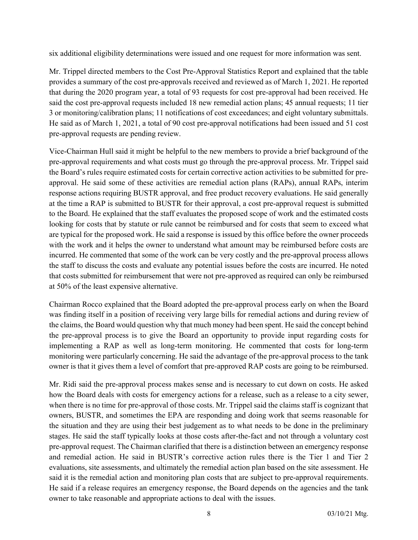six additional eligibility determinations were issued and one request for more information was sent.

Mr. Trippel directed members to the Cost Pre-Approval Statistics Report and explained that the table provides a summary of the cost pre-approvals received and reviewed as of March 1, 2021. He reported that during the 2020 program year, a total of 93 requests for cost pre-approval had been received. He said the cost pre-approval requests included 18 new remedial action plans; 45 annual requests; 11 tier 3 or monitoring/calibration plans; 11 notifications of cost exceedances; and eight voluntary submittals. He said as of March 1, 2021, a total of 90 cost pre-approval notifications had been issued and 51 cost pre-approval requests are pending review.

Vice-Chairman Hull said it might be helpful to the new members to provide a brief background of the pre-approval requirements and what costs must go through the pre-approval process. Mr. Trippel said the Board's rules require estimated costs for certain corrective action activities to be submitted for preapproval. He said some of these activities are remedial action plans (RAPs), annual RAPs, interim response actions requiring BUSTR approval, and free product recovery evaluations. He said generally at the time a RAP is submitted to BUSTR for their approval, a cost pre-approval request is submitted to the Board. He explained that the staff evaluates the proposed scope of work and the estimated costs looking for costs that by statute or rule cannot be reimbursed and for costs that seem to exceed what are typical for the proposed work. He said a response is issued by this office before the owner proceeds with the work and it helps the owner to understand what amount may be reimbursed before costs are incurred. He commented that some of the work can be very costly and the pre-approval process allows the staff to discuss the costs and evaluate any potential issues before the costs are incurred. He noted that costs submitted for reimbursement that were not pre-approved as required can only be reimbursed at 50% of the least expensive alternative.

Chairman Rocco explained that the Board adopted the pre-approval process early on when the Board was finding itself in a position of receiving very large bills for remedial actions and during review of the claims, the Board would question why that much money had been spent. He said the concept behind the pre-approval process is to give the Board an opportunity to provide input regarding costs for implementing a RAP as well as long-term monitoring. He commented that costs for long-term monitoring were particularly concerning. He said the advantage of the pre-approval process to the tank owner is that it gives them a level of comfort that pre-approved RAP costs are going to be reimbursed.

Mr. Ridi said the pre-approval process makes sense and is necessary to cut down on costs. He asked how the Board deals with costs for emergency actions for a release, such as a release to a city sewer, when there is no time for pre-approval of those costs. Mr. Trippel said the claims staff is cognizant that owners, BUSTR, and sometimes the EPA are responding and doing work that seems reasonable for the situation and they are using their best judgement as to what needs to be done in the preliminary stages. He said the staff typically looks at those costs after-the-fact and not through a voluntary cost pre-approval request. The Chairman clarified that there is a distinction between an emergency response and remedial action. He said in BUSTR's corrective action rules there is the Tier 1 and Tier 2 evaluations, site assessments, and ultimately the remedial action plan based on the site assessment. He said it is the remedial action and monitoring plan costs that are subject to pre-approval requirements. He said if a release requires an emergency response, the Board depends on the agencies and the tank owner to take reasonable and appropriate actions to deal with the issues.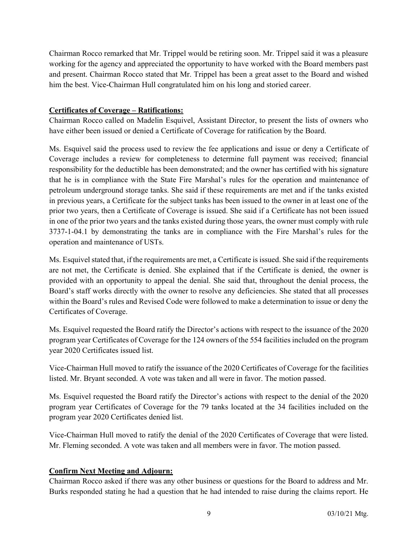Chairman Rocco remarked that Mr. Trippel would be retiring soon. Mr. Trippel said it was a pleasure working for the agency and appreciated the opportunity to have worked with the Board members past and present. Chairman Rocco stated that Mr. Trippel has been a great asset to the Board and wished him the best. Vice-Chairman Hull congratulated him on his long and storied career.

## Certificates of Coverage – Ratifications:

Chairman Rocco called on Madelin Esquivel, Assistant Director, to present the lists of owners who have either been issued or denied a Certificate of Coverage for ratification by the Board.

Ms. Esquivel said the process used to review the fee applications and issue or deny a Certificate of Coverage includes a review for completeness to determine full payment was received; financial responsibility for the deductible has been demonstrated; and the owner has certified with his signature that he is in compliance with the State Fire Marshal's rules for the operation and maintenance of petroleum underground storage tanks. She said if these requirements are met and if the tanks existed in previous years, a Certificate for the subject tanks has been issued to the owner in at least one of the prior two years, then a Certificate of Coverage is issued. She said if a Certificate has not been issued in one of the prior two years and the tanks existed during those years, the owner must comply with rule 3737-1-04.1 by demonstrating the tanks are in compliance with the Fire Marshal's rules for the operation and maintenance of USTs.

Ms. Esquivel stated that, if the requirements are met, a Certificate is issued. She said if the requirements are not met, the Certificate is denied. She explained that if the Certificate is denied, the owner is provided with an opportunity to appeal the denial. She said that, throughout the denial process, the Board's staff works directly with the owner to resolve any deficiencies. She stated that all processes within the Board's rules and Revised Code were followed to make a determination to issue or deny the Certificates of Coverage.

Ms. Esquivel requested the Board ratify the Director's actions with respect to the issuance of the 2020 program year Certificates of Coverage for the 124 owners of the 554 facilities included on the program year 2020 Certificates issued list.

Vice-Chairman Hull moved to ratify the issuance of the 2020 Certificates of Coverage for the facilities listed. Mr. Bryant seconded. A vote was taken and all were in favor. The motion passed.

Ms. Esquivel requested the Board ratify the Director's actions with respect to the denial of the 2020 program year Certificates of Coverage for the 79 tanks located at the 34 facilities included on the program year 2020 Certificates denied list.

Vice-Chairman Hull moved to ratify the denial of the 2020 Certificates of Coverage that were listed. Mr. Fleming seconded. A vote was taken and all members were in favor. The motion passed.

# Confirm Next Meeting and Adjourn:

Chairman Rocco asked if there was any other business or questions for the Board to address and Mr. Burks responded stating he had a question that he had intended to raise during the claims report. He